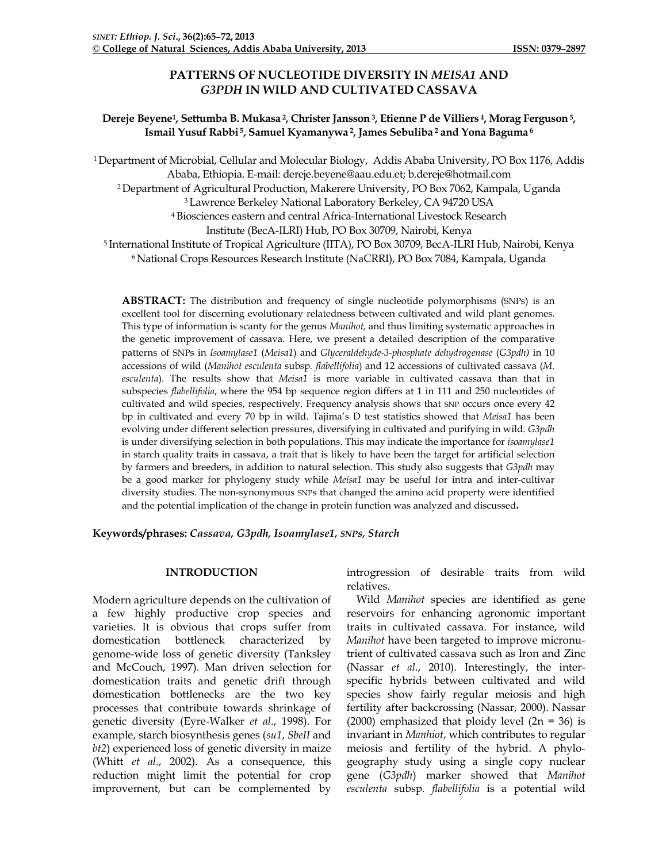# **PATTERNS OF NUCLEOTIDE DIVERSITY IN** *MEISA1* **AND**  *G3PDH* **IN WILD AND CULTIVATED CASSAVA**

## **Dereje Beyene1, Settumba B. Mukasa 2, Christer Jansson3, Etienne P de Villiers 4, Morag Ferguson5, Ismail Yusuf Rabbi 5, Samuel Kyamanywa 2, James Sebuliba <sup>2</sup> and Yona Baguma <sup>6</sup>**

1Department of Microbial, Cellular and Molecular Biology, Addis Ababa University, PO Box 1176, Addis Ababa, Ethiopia. E-mail: dereje.beyene@aau.edu.et; b.dereje@hotmail.com 2Department of Agricultural Production, Makerere University, PO Box 7062, Kampala, Uganda 3Lawrence Berkeley National Laboratory Berkeley, CA 94720 USA 4Biosciences eastern and central Africa-International Livestock Research Institute (BecA-ILRI) Hub, PO Box 30709, Nairobi, Kenya <sup>5</sup> International Institute of Tropical Agriculture (IITA), PO Box 30709, BecA-ILRI Hub, Nairobi, Kenya <sup>6</sup> National Crops Resources Research Institute (NaCRRI), PO Box 7084, Kampala, Uganda

**ABSTRACT:** The distribution and frequency of single nucleotide polymorphisms (SNPs) is an excellent tool for discerning evolutionary relatedness between cultivated and wild plant genomes. This type of information is scanty for the genus *Manihot,* and thus limiting systematic approaches in the genetic improvement of cassava. Here, we present a detailed description of the comparative patterns of SNPs in *Isoamylase1* (*Meisa1*) and *Glyceraldehyde-3-phosphate dehydrogenase* (*G3pdh)* in 10 accessions of wild (*Manihot esculenta* subsp*. flabellifolia*) and 12 accessions of cultivated cassava (*M. esculenta*). The results show that *Meisa1* is more variable in cultivated cassava than that in subspecies *flabellifolia*, where the 954 bp sequence region differs at 1 in 111 and 250 nucleotides of cultivated and wild species, respectively. Frequency analysis shows that SNP occurs once every 42 bp in cultivated and every 70 bp in wild. Tajima's D test statistics showed that *Meisa1* has been evolving under different selection pressures, diversifying in cultivated and purifying in wild. *G3pdh* is under diversifying selection in both populations. This may indicate the importance for *isoamylase1* in starch quality traits in cassava, a trait that is likely to have been the target for artificial selection by farmers and breeders, in addition to natural selection. This study also suggests that *G3pdh* may be a good marker for phylogeny study while *Meisa1* may be useful for intra and inter-cultivar diversity studies. The non-synonymous SNPs that changed the amino acid property were identified and the potential implication of the change in protein function was analyzed and discussed**.**

**Keywords/phrases:** *Cassava, G3pdh, Isoamylase1, SNPs, Starch*

## **INTRODUCTION**

Modern agriculture depends on the cultivation of a few highly productive crop species and varieties. It is obvious that crops suffer from domestication bottleneck characterized by genome-wide loss of genetic diversity (Tanksley and McCouch, 1997). Man driven selection for domestication traits and genetic drift through domestication bottlenecks are the two key processes that contribute towards shrinkage of genetic diversity (Eyre-Walker *et al*., 1998). For example, starch biosynthesis genes (*su1*, *SbeII* and *bt2*) experienced loss of genetic diversity in maize (Whitt *et al*., 2002). As a consequence, this reduction might limit the potential for crop improvement, but can be complemented by

introgression of desirable traits from wild relatives.

Wild *Manihot* species are identified as gene reservoirs for enhancing agronomic important traits in cultivated cassava. For instance, wild *Manihot* have been targeted to improve micronutrient of cultivated cassava such as Iron and Zinc (Nassar *et al*., 2010). Interestingly, the interspecific hybrids between cultivated and wild species show fairly regular meiosis and high fertility after backcrossing (Nassar, 2000). Nassar (2000) emphasized that ploidy level  $(2n = 36)$  is invariant in *Manhiot*, which contributes to regular meiosis and fertility of the hybrid. A phylogeography study using a single copy nuclear gene (*G3pdh*) marker showed that *Manihot esculenta* subsp*. flabellifolia* is a potential wild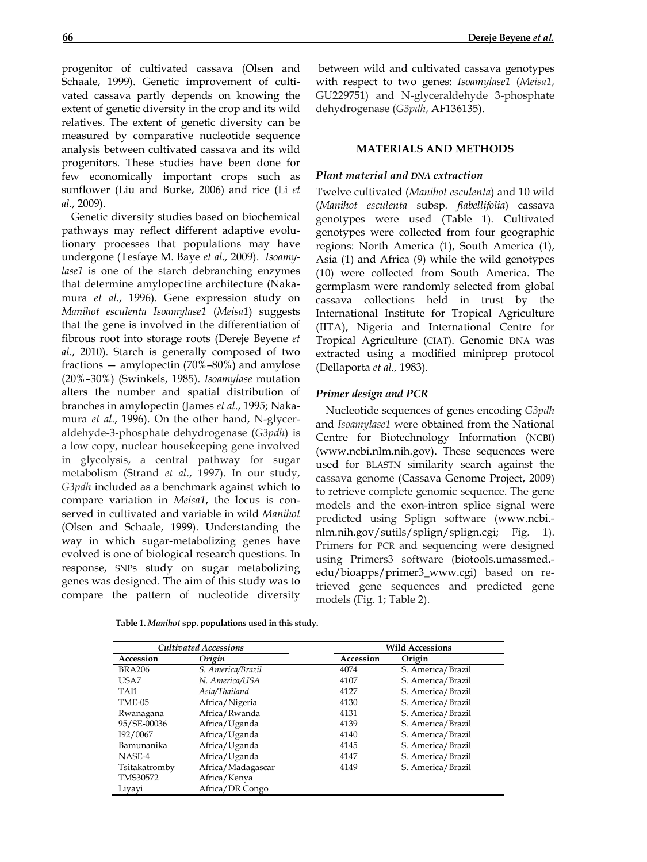progenitor of cultivated cassava (Olsen and Schaale, 1999). Genetic improvement of cultivated cassava partly depends on knowing the extent of genetic diversity in the crop and its wild relatives. The extent of genetic diversity can be measured by comparative nucleotide sequence analysis between cultivated cassava and its wild progenitors. These studies have been done for few economically important crops such as sunflower (Liu and Burke, 2006) and rice (Li *et al*., 2009).

Genetic diversity studies based on biochemical pathways may reflect different adaptive evolutionary processes that populations may have undergone (Tesfaye M. Baye *et al.,* 2009). *Isoamylase1* is one of the starch debranching enzymes that determine amylopectine architecture (Nakamura *et al.*, 1996). Gene expression study on *Manihot esculenta Isoamylase1* (*Meisa1*) suggests that the gene is involved in the differentiation of fibrous root into storage roots (Dereje Beyene *et al*., 2010). Starch is generally composed of two fractions — amylopectin (70%–80%) and amylose (20%–30%) (Swinkels, 1985). *Isoamylase* mutation alters the number and spatial distribution of branches in amylopectin (James *et al*., 1995; Nakamura *et al*., 1996). On the other hand, N-glyceraldehyde-3-phosphate dehydrogenase (*G3pdh*) is a low copy, nuclear housekeeping gene involved in glycolysis, a central pathway for sugar metabolism (Strand *et al*., 1997). In our study, *G3pdh* included as a benchmark against which to compare variation in *Meisa1*, the locus is conserved in cultivated and variable in wild *Manihot* (Olsen and Schaale, 1999). Understanding the way in which sugar-metabolizing genes have evolved is one of biological research questions. In response, SNPs study on sugar metabolizing genes was designed. The aim of this study was to compare the pattern of nucleotide diversity

between wild and cultivated cassava genotypes with respect to two genes: *Isoamylase1* (*Meisa1*, GU229751) and N-glyceraldehyde 3-phosphate dehydrogenase (*G3pdh*, AF136135).

### **MATERIALS AND METHODS**

## *Plant material and DNA extraction*

Twelve cultivated (*Manihot esculenta*) and 10 wild (*Manihot esculenta* subsp*. flabellifolia*) cassava genotypes were used (Table 1). Cultivated genotypes were collected from four geographic regions: North America (1), South America (1), Asia (1) and Africa (9) while the wild genotypes (10) were collected from South America. The germplasm were randomly selected from global cassava collections held in trust by the International Institute for Tropical Agriculture (IITA), Nigeria and International Centre for Tropical Agriculture (CIAT). Genomic DNA was extracted using a modified miniprep protocol (Dellaporta *et al.,* 1983).

#### *Primer design and PCR*

Nucleotide sequences of genes encoding *G3pdh* and *Isoamylase1* were obtained from the National Centre for Biotechnology Information (NCBI) (www.ncbi.nlm.nih.gov). These sequences were used for BLASTN similarity search against the cassava genome (Cassava Genome Project, 2009) to retrieve complete genomic sequence. The gene models and the exon-intron splice signal were predicted using Splign software (www.ncbi. nlm.nih.gov/sutils/splign/splign.cgi; Fig. 1). Primers for PCR and sequencing were designed using Primers3 software (biotools.umassmed. edu/bioapps/primer3\_www.cgi) based on retrieved gene sequences and predicted gene models (Fig. 1; Table 2).

| <b>Cultivated Accessions</b> |                   |  | <b>Wild Accessions</b> |                   |  |  |
|------------------------------|-------------------|--|------------------------|-------------------|--|--|
| Accession                    | Origin            |  | Accession              | Origin            |  |  |
| <b>BRA206</b>                | S. America/Brazil |  | 4074                   | S. America/Brazil |  |  |
| USA7                         | N. America/USA    |  | 4107                   | S. America/Brazil |  |  |
| TAI1                         | Asia/Thailand     |  | 4127                   | S. America/Brazil |  |  |
| <b>TME-05</b>                | Africa/Nigeria    |  | 4130                   | S. America/Brazil |  |  |
| Rwanagana                    | Africa/Rwanda     |  | 4131                   | S. America/Brazil |  |  |
| 95/SE-00036                  | Africa/Uganda     |  | 4139                   | S. America/Brazil |  |  |
| I92/0067                     | Africa/Uganda     |  | 4140                   | S. America/Brazil |  |  |
| Bamunanika                   | Africa/Uganda     |  | 4145                   | S. America/Brazil |  |  |
| NASE-4                       | Africa/Uganda     |  | 4147                   | S. America/Brazil |  |  |
| Tsitakatromby                | Africa/Madagascar |  | 4149                   | S. America/Brazil |  |  |
| TMS30572                     | Africa/Kenya      |  |                        |                   |  |  |
| Liyayi                       | Africa/DR Congo   |  |                        |                   |  |  |
|                              |                   |  |                        |                   |  |  |

**Table 1.** *Manihot* **spp. populations used in this study.**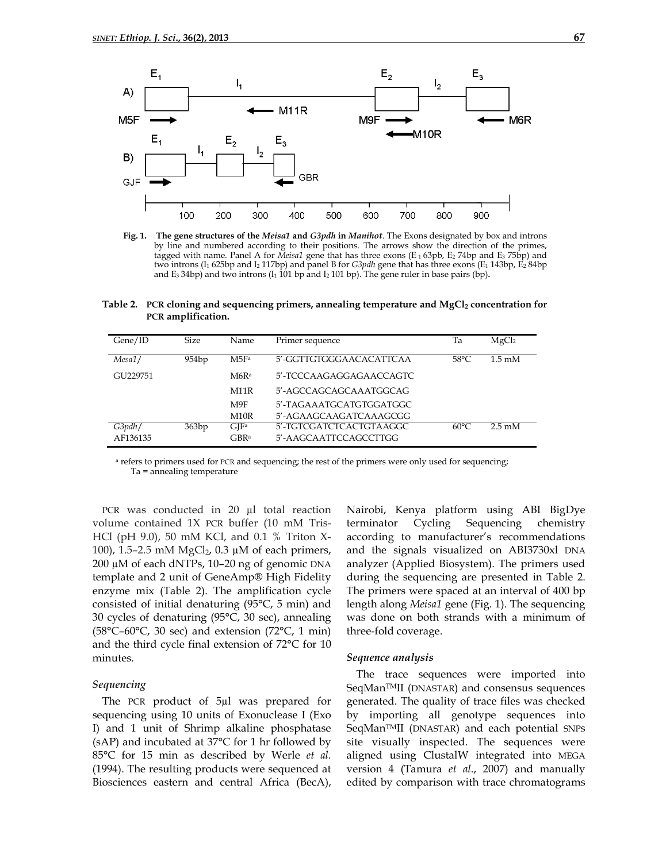

**Fig. 1. The gene structures of the** *Meisa1* **and** *G3pdh* **in** *Manihot*. The Exons designated by box and introns by line and numbered according to their positions. The arrows show the direction of the primes, tagged with name. Panel A for *Meisa1* gene that has three exons (E<sub>1</sub> 63pb, E<sub>2</sub> 74bp and E<sub>3</sub> 75bp) and two introns (I1 625bp and I2 117bp) and panel B for *G3pdh* gene that has three exons (E1 143bp, E2 84bp and E<sub>3</sub> 34bp) and two introns  $(I_1 \overline{101}$  bp and  $I_2 \overline{101}$  bp). The gene ruler in base pairs (bp).

Table 2. PCR cloning and sequencing primers, annealing temperature and MgCl<sub>2</sub> concentration for **PCR amplification.**

| Gene/ID  | Size              | Name             | Primer sequence         | Ta             | MgCl <sub>2</sub>         |
|----------|-------------------|------------------|-------------------------|----------------|---------------------------|
| Mesa1/   | 954 <sub>bp</sub> | M5F <sub>a</sub> | 5'-GGTTGTGGGAACACATTCAA | $58^{\circ}$ C | $1.5 \text{ }\mathrm{mM}$ |
| GU229751 |                   | M6R <sup>a</sup> | 5'-TCCCAAGAGGAGAACCAGTC |                |                           |
|          |                   | M11R             | 5'-AGCCAGCAGCAAATGGCAG  |                |                           |
|          |                   | M9F              | 5'-TAGAAATGCATGTGGATGGC |                |                           |
|          |                   | M10R             | 5'-AGAAGCAAGATCAAAGCGG  |                |                           |
| G3pdh/   | 363bp             | $\rm GIF^a$      | 5'-TGTCGATCTCACTGTAAGGC | $60^{\circ}$ C | $2.5 \text{ mM}$          |
| AF136135 |                   | GBRa             | 5'-AAGCAATTCCAGCCTTGG   |                |                           |

<sup>a</sup> refers to primers used for PCR and sequencing; the rest of the primers were only used for sequencing; Ta = annealing temperature

PCR was conducted in 20 µl total reaction volume contained 1X PCR buffer (10 mM Tris-HCl (pH 9.0), 50 mM KCl, and 0.1 % Triton X-100), 1.5–2.5 mM MgCl2, 0.3 µM of each primers, 200 µM of each dNTPs, 10–20 ng of genomic DNA template and 2 unit of GeneAmp® High Fidelity enzyme mix (Table 2). The amplification cycle consisted of initial denaturing (95°C, 5 min) and 30 cycles of denaturing (95°C, 30 sec), annealing  $(58^{\circ}C - 60^{\circ}C, 30 \text{ sec})$  and extension  $(72^{\circ}C, 1 \text{ min})$ and the third cycle final extension of 72°C for 10 minutes.

#### *Sequencing*

The PCR product of 5µl was prepared for sequencing using 10 units of Exonuclease I (Exo I) and 1 unit of Shrimp alkaline phosphatase (sAP) and incubated at  $37^{\circ}$ C for 1 hr followed by 85°C for 15 min as described by Werle *et al.* (1994). The resulting products were sequenced at Biosciences eastern and central Africa (BecA),

Nairobi, Kenya platform using ABI BigDye terminator Cycling Sequencing chemistry according to manufacturer's recommendations and the signals visualized on ABI3730xl DNA analyzer (Applied Biosystem). The primers used during the sequencing are presented in Table 2. The primers were spaced at an interval of 400 bp length along *Meisa1* gene (Fig. 1). The sequencing was done on both strands with a minimum of three-fold coverage.

#### *Sequence analysis*

The trace sequences were imported into SeqManTMII (DNASTAR) and consensus sequences generated. The quality of trace files was checked by importing all genotype sequences into SeqManTMII (DNASTAR) and each potential SNPs site visually inspected. The sequences were aligned using ClustalW integrated into MEGA version 4 (Tamura *et al*., 2007) and manually edited by comparison with trace chromatograms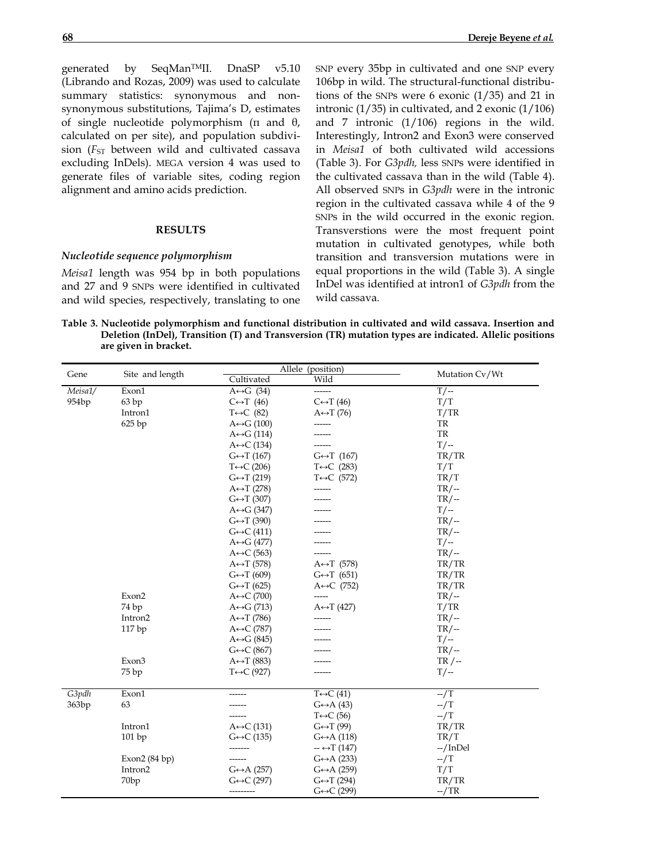generated by SeqMan<sup>TM</sup>II. DnaSP v5.10 (Librando and Rozas, 2009) was used to calculate

summary statistics: synonymous and nonsynonymous substitutions, Tajima's D, estimates of single nucleotide polymorphism (π and θ, calculated on per site), and population subdivision (*F<sub>ST</sub>* between wild and cultivated cassava excluding InDels). MEGA version 4 was used to generate files of variable sites, coding region alignment and amino acids prediction.

### **RESULTS**

## *Nucleotide sequence polymorphism*

*Meisa1* length was 954 bp in both populations and 27 and 9 SNPs were identified in cultivated and wild species, respectively, translating to one SNP every 35bp in cultivated and one SNP every 106bp in wild. The structural-functional distributions of the SNPs were 6 exonic (1/35) and 21 in intronic  $(1/35)$  in cultivated, and 2 exonic  $(1/106)$ and 7 intronic (1/106) regions in the wild. Interestingly, Intron2 and Exon3 were conserved in *Meisa1* of both cultivated wild accessions (Table 3). For *G3pdh,* less SNPs were identified in the cultivated cassava than in the wild (Table 4). All observed SNPs in *G3pdh* were in the intronic region in the cultivated cassava while 4 of the 9 SNPs in the wild occurred in the exonic region. Transverstions were the most frequent point mutation in cultivated genotypes, while both transition and transversion mutations were in equal proportions in the wild (Table 3). A single InDel was identified at intron1 of *G3pdh* from the wild cassava*.*

**Table 3. Nucleotide polymorphism and functional distribution in cultivated and wild cassava. Insertion and Deletion (InDel), Transition (T) and Transversion (TR) mutation types are indicated. Allelic positions are given in bracket.**

|         |                  |                             | Allele (position)           | Mutation Cv/Wt |  |
|---------|------------------|-----------------------------|-----------------------------|----------------|--|
| Gene    | Site and length  | Cultivated                  | Wild                        |                |  |
| Meisa1/ | Exon1            | $A \leftrightarrow G$ (34)  | ------                      | $T$ / --       |  |
| 954bp   | 63bp             | $C \leftrightarrow T$ (46)  | $C \leftrightarrow T(46)$   | T/T            |  |
|         | Intron1          | $T \leftrightarrow C$ (82)  | $A \leftrightarrow T(76)$   | T/TR           |  |
|         | 625 bp           | $A \leftrightarrow G (100)$ | ------                      | TR             |  |
|         |                  | $A \leftrightarrow G$ (114) |                             | <b>TR</b>      |  |
|         |                  | $A \leftrightarrow C$ (134) |                             | $T$ / --       |  |
|         |                  | $G \leftrightarrow T(167)$  | $G \leftrightarrow T$ (167) | TR/TR          |  |
|         |                  | $T \leftrightarrow C$ (206) | $T \leftrightarrow C$ (283) | T/T            |  |
|         |                  | $G \leftrightarrow T(219)$  | $T \leftrightarrow C$ (572) | TR/T           |  |
|         |                  | $A \leftrightarrow T(278)$  | ------                      | $TR/-$         |  |
|         |                  | $G \leftrightarrow T$ (307) |                             | $TR/-$         |  |
|         |                  | $A \leftrightarrow G (347)$ |                             | $T/-$          |  |
|         |                  | $G \leftrightarrow T(390)$  |                             | $TR/-$         |  |
|         |                  | $G \leftrightarrow C$ (411) |                             | $TR/-$         |  |
|         |                  | $A \leftrightarrow G$ (477) |                             | $T/-$          |  |
|         |                  | $A \leftrightarrow C$ (563) |                             | $TR/-$         |  |
|         |                  | $A \leftrightarrow T (578)$ | $A \leftrightarrow T$ (578) | TR/TR          |  |
|         |                  | $G \leftrightarrow T(609)$  | $G \leftrightarrow T$ (651) | TR/TR          |  |
|         |                  | $G \leftrightarrow T(625)$  | A $\leftrightarrow$ C (752) | TR/TR          |  |
|         | Exon2            | $A \leftrightarrow C$ (700) | -----                       | $TR/-$         |  |
|         | 74 bp            | $A \leftrightarrow G$ (713) | $A \leftrightarrow T (427)$ | T/TR           |  |
|         | Intron2          | $A \leftrightarrow T(786)$  | -------                     | $TR/-$         |  |
|         | 117 bp           | $A \leftrightarrow C$ (787) |                             | $TR/$ --       |  |
|         |                  | $A \leftrightarrow G (845)$ |                             | $T/-$          |  |
|         |                  | $G \leftrightarrow C (867)$ |                             | $TR/-$         |  |
|         | Exon3            | $A \leftrightarrow T (883)$ |                             | $TR / -$       |  |
|         | 75 bp            | $T \leftrightarrow C$ (927) |                             | $T/$ --        |  |
|         |                  |                             |                             |                |  |
| G3pdh   | Exon1            |                             | $T \leftrightarrow C$ (41)  | $-\sqrt{T}$    |  |
| 363bp   | 63               |                             | $G \leftrightarrow A(43)$   | $-\sqrt{T}$    |  |
|         |                  |                             | $T \leftrightarrow C$ (56)  | $-\sqrt{T}$    |  |
|         | Intron1          | $A \leftrightarrow C$ (131) | $G \leftrightarrow T(99)$   | TR/TR          |  |
|         | 101 bp           | $G \leftrightarrow C$ (135) | $G \leftrightarrow A(118)$  | TR/T           |  |
|         |                  | -------                     | $ \leftrightarrow$ T (147)  | $-$ /InDel     |  |
|         | Exon $2(84 bp)$  |                             | $G \leftrightarrow A(233)$  | $-\sqrt{T}$    |  |
|         | Intron2          | $G \leftrightarrow A(257)$  | $G \leftrightarrow A(259)$  | T/T            |  |
|         | 70 <sub>bp</sub> | $G \leftrightarrow C$ (297) | $G \leftrightarrow T(294)$  | TR/TR          |  |
|         |                  | ----------                  | $G \leftrightarrow C$ (299) | $-$ /TR        |  |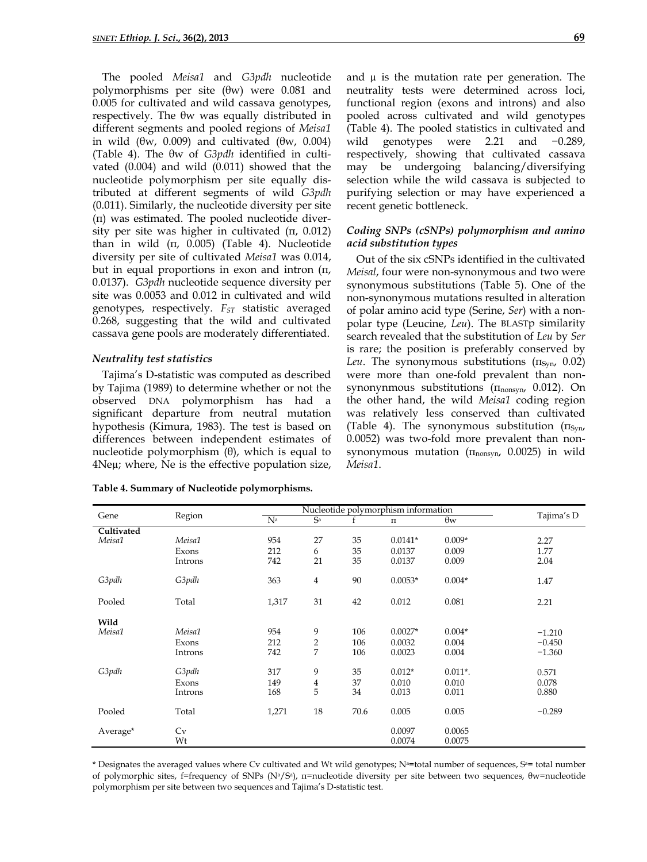The pooled *Meisa1* and *G3pdh* nucleotide polymorphisms per site (θw) were 0.081 and 0.005 for cultivated and wild cassava genotypes, respectively. The θw was equally distributed in different segments and pooled regions of *Meisa1* in wild (θw, 0.009) and cultivated (θw, 0.004) (Table 4). The θw of *G3pdh* identified in cultivated (0.004) and wild (0.011) showed that the nucleotide polymorphism per site equally distributed at different segments of wild *G3pdh*  (0.011). Similarly, the nucleotide diversity per site (π) was estimated. The pooled nucleotide diversity per site was higher in cultivated (π, 0.012) than in wild  $(\pi, 0.005)$  (Table 4). Nucleotide diversity per site of cultivated *Meisa1* was 0.014, but in equal proportions in exon and intron (π, 0.0137). *G3pdh* nucleotide sequence diversity per site was 0.0053 and 0.012 in cultivated and wild genotypes, respectively. *F<sub>ST</sub>* statistic averaged 0.268, suggesting that the wild and cultivated cassava gene pools are moderately differentiated.

### *Neutrality test statistics*

Tajima's D-statistic was computed as described by Tajima (1989) to determine whether or not the observed DNA polymorphism has had a significant departure from neutral mutation hypothesis (Kimura, 1983). The test is based on differences between independent estimates of nucleotide polymorphism  $(θ)$ , which is equal to 4Neµ; where, Ne is the effective population size,

|  |  |  | Table 4. Summary of Nucleotide polymorphisms. |  |  |  |
|--|--|--|-----------------------------------------------|--|--|--|
|--|--|--|-----------------------------------------------|--|--|--|

and  $\mu$  is the mutation rate per generation. The neutrality tests were determined across loci, functional region (exons and introns) and also pooled across cultivated and wild genotypes (Table 4). The pooled statistics in cultivated and wild genotypes were 2.21 and −0.289, respectively, showing that cultivated cassava may be undergoing balancing/diversifying selection while the wild cassava is subjected to purifying selection or may have experienced a recent genetic bottleneck.

### *Coding SNPs (cSNPs) polymorphism and amino acid substitution types*

Out of the six cSNPs identified in the cultivated *Meisal*, four were non-synonymous and two were synonymous substitutions (Table 5). One of the non-synonymous mutations resulted in alteration of polar amino acid type (Serine, *Ser*) with a nonpolar type (Leucine, *Leu*). The BLASTp similarity search revealed that the substitution of *Leu* by *Ser* is rare; the position is preferably conserved by *Leu*. The synonymous substitutions  $(\pi_{\text{Svn}} \ 0.02)$ were more than one-fold prevalent than nonsynonynmous substitutions  $(\Pi_{\text{nonsyn}}\ 0.012)$ . On the other hand, the wild *Meisa1* coding region was relatively less conserved than cultivated (Table 4). The synonymous substitution  $(\pi_{\text{Syn}},$ 0.0052) was two-fold more prevalent than nonsynonymous mutation  $(\Pi_{\text{nonsyn}}\ 0.0025)$  in wild *Meisa1*.

| Gene       | Region  |       | Tajima's D              |      |                    |            |          |
|------------|---------|-------|-------------------------|------|--------------------|------------|----------|
|            |         | $N^a$ | $S^a$                   |      | $\boldsymbol{\Pi}$ | $\theta w$ |          |
| Cultivated |         |       |                         |      |                    |            |          |
| Meisa1     | Meisa1  | 954   | 27                      | 35   | $0.0141*$          | $0.009*$   | 2.27     |
|            | Exons   | 212   | 6                       | 35   | 0.0137             | 0.009      | 1.77     |
|            | Introns | 742   | 21                      | 35   | 0.0137             | 0.009      | 2.04     |
| G3pdh      | G3pdh   | 363   | $\overline{4}$          | 90   | $0.0053*$          | $0.004*$   | 1.47     |
| Pooled     | Total   | 1,317 | 31                      | 42   | 0.012              | 0.081      | 2.21     |
| Wild       |         |       |                         |      |                    |            |          |
| Meisa1     | Meisa1  | 954   | 9                       | 106  | $0.0027*$          | $0.004*$   | $-1.210$ |
|            | Exons   | 212   | $\overline{\mathbf{c}}$ | 106  | 0.0032             | 0.004      | $-0.450$ |
|            | Introns | 742   | 7                       | 106  | 0.0023             | 0.004      | $-1.360$ |
| G3pdh      | G3pdh   | 317   | 9                       | 35   | $0.012*$           | $0.011*$ . | 0.571    |
|            | Exons   | 149   | 4                       | 37   | 0.010              | 0.010      | 0.078    |
|            | Introns | 168   | 5                       | 34   | 0.013              | 0.011      | 0.880    |
| Pooled     | Total   | 1,271 | 18                      | 70.6 | 0.005              | 0.005      | $-0.289$ |
| Average*   | Cv      |       |                         |      | 0.0097             | 0.0065     |          |
|            | Wt      |       |                         |      | 0.0074             | 0.0075     |          |

\* Designates the averaged values where Cv cultivated and Wt wild genotypes; N<sup>a=</sup>total number of sequences, S<sup>a=</sup> total number of polymorphic sites, f=frequency of SNPs (Na/Sa), π=nucleotide diversity per site between two sequences, θw=nucleotide polymorphism per site between two sequences and Tajima's D-statistic test.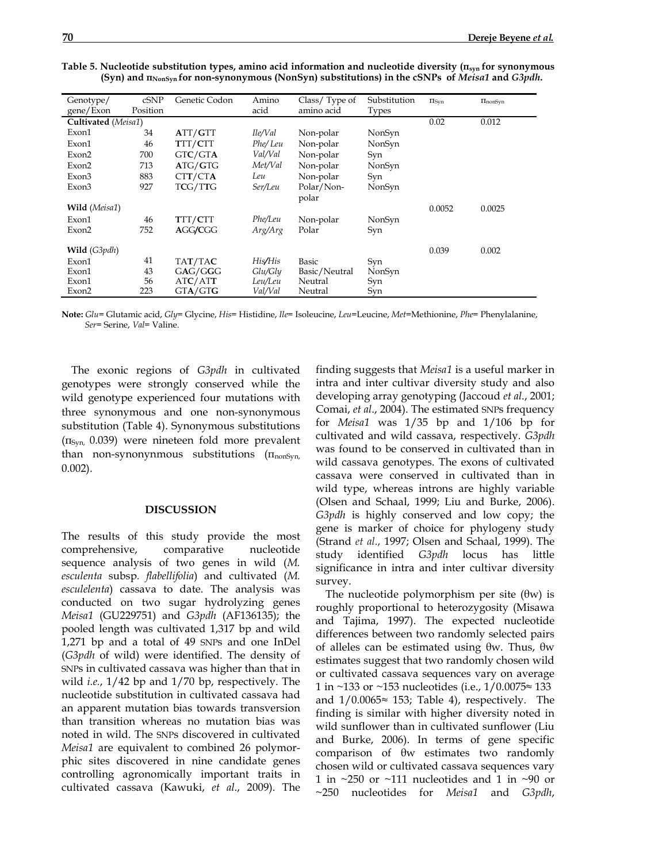| Genotype/           | cSNP     | Genetic Codon | Amino   | Class/Type of | Substitution | $\Pi$ Syn | InonSyn |
|---------------------|----------|---------------|---------|---------------|--------------|-----------|---------|
| gene/Exon           | Position |               | acid    | amino acid    | <b>Types</b> |           |         |
| Cultivated (Meisa1) |          |               |         |               |              | 0.02      | 0.012   |
| Exon1               | 34       | ATT/GTT       | Ile/Val | Non-polar     | NonSyn       |           |         |
| Exon1               | 46       | TTT/CTT       | Phe/Leu | Non-polar     | NonSyn       |           |         |
| Exon2               | 700      | GTC/GTA       | Val/Val | Non-polar     | Syn          |           |         |
| Exon2               | 713      | ATG/GTG       | Met/Val | Non-polar     | NonSyn       |           |         |
| Exon3               | 883      | CTT/CTA       | Leu     | Non-polar     | Syn          |           |         |
| Exon3               | 927      | TCG/TTG       | Ser/Leu | Polar/Non-    | NonSyn       |           |         |
|                     |          |               |         | polar         |              |           |         |
| Wild (Meisa1)       |          |               |         |               |              | 0.0052    | 0.0025  |
| Exon1               | 46       | TTT/CTT       | Phe/Leu | Non-polar     | NonSyn       |           |         |
| Exon2               | 752      | AGG/CGG       | Arg/Arg | Polar         | Syn          |           |         |
|                     |          |               |         |               |              |           |         |
| Wild (G3pdh)        |          |               |         |               |              | 0.039     | 0.002   |
| Exon1               | 41       | TAT/TAC       | His/His | Basic         | Syn          |           |         |
| Exon1               | 43       | GAG/GGG       | Glu/Gly | Basic/Neutral | NonSyn       |           |         |
| Exon1               | 56       | ATC/ATT       | Leu/Leu | Neutral       | Syn          |           |         |
| Exon2               | 223      | GTA/GTG       | Val/Val | Neutral       | Syn          |           |         |

**Table 5. Nucleotide substitution types, amino acid information and nucleotide diversity (πsyn for synonymous (Syn) and πNonSyn for non-synonymous (NonSyn) substitutions) in the cSNPs of** *Meisa1* **and** *G3pdh***.**

**Note:** *Glu*= Glutamic acid, *Gly*= Glycine, *His*= Histidine, *Ile*= Isoleucine, *Leu*=Leucine, *Met*=Methionine, *Phe*= Phenylalanine, *Ser*= Serine, *Val*= Valine.

The exonic regions of *G3pdh* in cultivated genotypes were strongly conserved while the wild genotype experienced four mutations with three synonymous and one non-synonymous substitution (Table 4). Synonymous substitutions  $(\Pi_{\text{Syn}}, 0.039)$  were nineteen fold more prevalent than non-synonynmous substitutions  $(\Pi_{nonSyn}$ , 0.002).

### **DISCUSSION**

The results of this study provide the most comprehensive, comparative nucleotide sequence analysis of two genes in wild (*M. esculenta* subsp*. flabellifolia*) and cultivated (*M. esculelenta*) cassava to date. The analysis was conducted on two sugar hydrolyzing genes *Meisa1* (GU229751) and *G3pdh* (AF136135); the pooled length was cultivated 1,317 bp and wild 1,271 bp and a total of 49 SNPs and one InDel (*G3pdh* of wild) were identified. The density of SNPs in cultivated cassava was higher than that in wild *i.e.*, 1/42 bp and 1/70 bp, respectively. The nucleotide substitution in cultivated cassava had an apparent mutation bias towards transversion than transition whereas no mutation bias was noted in wild. The SNPs discovered in cultivated *Meisa1* are equivalent to combined 26 polymorphic sites discovered in nine candidate genes controlling agronomically important traits in cultivated cassava (Kawuki, *et al*., 2009). The

finding suggests that *Meisa1* is a useful marker in intra and inter cultivar diversity study and also developing array genotyping (Jaccoud *et al*., 2001; Comai, *et al*., 2004). The estimated SNPs frequency for *Meisa1* was 1/35 bp and 1/106 bp for cultivated and wild cassava, respectively. *G3pdh* was found to be conserved in cultivated than in wild cassava genotypes. The exons of cultivated cassava were conserved in cultivated than in wild type, whereas introns are highly variable (Olsen and Schaal, 1999; Liu and Burke, 2006). *G3pdh* is highly conserved and low copy; the gene is marker of choice for phylogeny study (Strand *et al*., 1997; Olsen and Schaal, 1999). The study identified *G3pdh* locus has little significance in intra and inter cultivar diversity survey.

The nucleotide polymorphism per site  $(\theta w)$  is roughly proportional to heterozygosity (Misawa and Tajima, 1997). The expected nucleotide differences between two randomly selected pairs of alleles can be estimated using θw. Thus, θw estimates suggest that two randomly chosen wild or cultivated cassava sequences vary on average 1 in ~133 or ~153 nucleotides (i.e.,  $1/0.0075 \approx 133$ and  $1/0.0065 \approx 153$ ; Table 4), respectively. The finding is similar with higher diversity noted in wild sunflower than in cultivated sunflower (Liu and Burke, 2006). In terms of gene specific comparison of θw estimates two randomly chosen wild or cultivated cassava sequences vary 1 in  $\sim$ 250 or  $\sim$ 111 nucleotides and 1 in  $\sim$ 90 or ~250 nucleotides for *Meisa1* and *G3pdh*,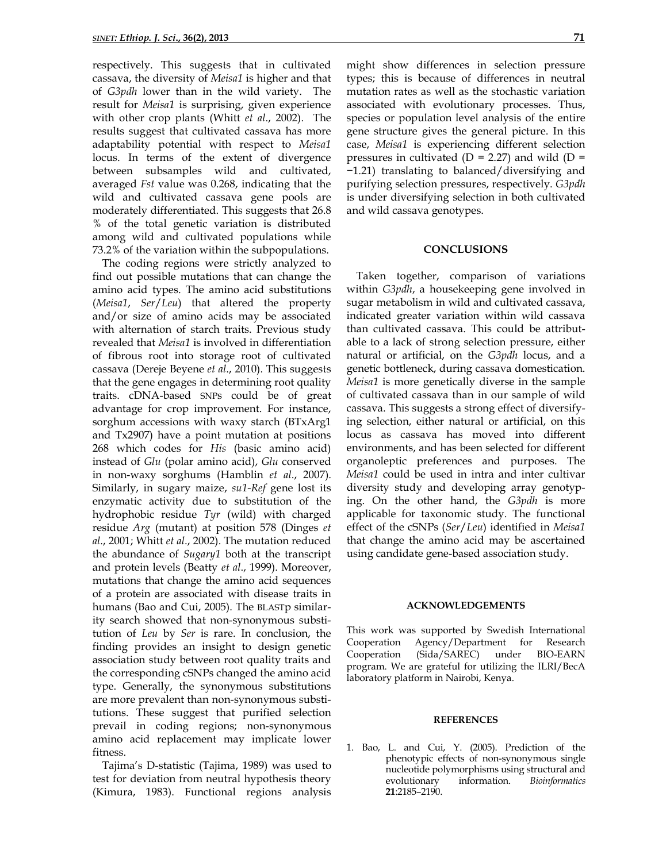respectively. This suggests that in cultivated cassava, the diversity of *Meisa1* is higher and that of *G3pdh* lower than in the wild variety. The result for *Meisa1* is surprising, given experience with other crop plants (Whitt *et al*., 2002). The results suggest that cultivated cassava has more adaptability potential with respect to *Meisa1* locus. In terms of the extent of divergence between subsamples wild and cultivated, averaged *Fst* value was 0.268, indicating that the wild and cultivated cassava gene pools are moderately differentiated. This suggests that 26.8 % of the total genetic variation is distributed among wild and cultivated populations while 73.2% of the variation within the subpopulations.

The coding regions were strictly analyzed to find out possible mutations that can change the amino acid types. The amino acid substitutions (*Meisa1*, *Ser*/*Leu*) that altered the property and/or size of amino acids may be associated with alternation of starch traits. Previous study revealed that *Meisa1* is involved in differentiation of fibrous root into storage root of cultivated cassava (Dereje Beyene *et al*., 2010). This suggests that the gene engages in determining root quality traits. cDNA-based SNPs could be of great advantage for crop improvement. For instance, sorghum accessions with waxy starch (BTxArg1 and Tx2907) have a point mutation at positions 268 which codes for *His* (basic amino acid) instead of *Glu* (polar amino acid), *Glu* conserved in non-waxy sorghums (Hamblin *et al*., 2007). Similarly, in sugary maize, *su1-Ref* gene lost its enzymatic activity due to substitution of the hydrophobic residue *Tyr* (wild) with charged residue *Arg* (mutant) at position 578 (Dinges *et al*., 2001; Whitt *et al*., 2002). The mutation reduced the abundance of *Sugary1* both at the transcript and protein levels (Beatty *et al*., 1999). Moreover, mutations that change the amino acid sequences of a protein are associated with disease traits in humans (Bao and Cui, 2005). The BLASTp similarity search showed that non-synonymous substitution of *Leu* by *Ser* is rare. In conclusion, the finding provides an insight to design genetic association study between root quality traits and the corresponding cSNPs changed the amino acid type. Generally, the synonymous substitutions are more prevalent than non-synonymous substitutions. These suggest that purified selection prevail in coding regions; non-synonymous amino acid replacement may implicate lower fitness.

Tajima's D-statistic (Tajima, 1989) was used to test for deviation from neutral hypothesis theory (Kimura, 1983). Functional regions analysis might show differences in selection pressure types; this is because of differences in neutral mutation rates as well as the stochastic variation associated with evolutionary processes. Thus, species or population level analysis of the entire gene structure gives the general picture. In this case, *Meisa1* is experiencing different selection pressures in cultivated ( $D = 2.27$ ) and wild ( $D =$ −1.21) translating to balanced/diversifying and purifying selection pressures, respectively. *G3pdh* is under diversifying selection in both cultivated and wild cassava genotypes.

### **CONCLUSIONS**

Taken together, comparison of variations within *G3pdh*, a housekeeping gene involved in sugar metabolism in wild and cultivated cassava, indicated greater variation within wild cassava than cultivated cassava. This could be attributable to a lack of strong selection pressure, either natural or artificial, on the *G3pdh* locus, and a genetic bottleneck, during cassava domestication. *Meisa1* is more genetically diverse in the sample of cultivated cassava than in our sample of wild cassava. This suggests a strong effect of diversifying selection, either natural or artificial, on this locus as cassava has moved into different environments, and has been selected for different organoleptic preferences and purposes. The *Meisa1* could be used in intra and inter cultivar diversity study and developing array genotyping. On the other hand, the *G3pdh* is more applicable for taxonomic study. The functional effect of the cSNPs (*Ser*/*Leu*) identified in *Meisa1* that change the amino acid may be ascertained using candidate gene-based association study.

#### **ACKNOWLEDGEMENTS**

This work was supported by Swedish International Cooperation Agency/Department for Research Cooperation (Sida/SAREC) under BIO-EARN program. We are grateful for utilizing the ILRI/BecA laboratory platform in Nairobi, Kenya.

#### **REFERENCES**

1. Bao, L. and Cui, Y. (2005). Prediction of the phenotypic effects of non-synonymous single nucleotide polymorphisms using structural and evolutionary information. *Bioinformatics* **21**:2185–2190.